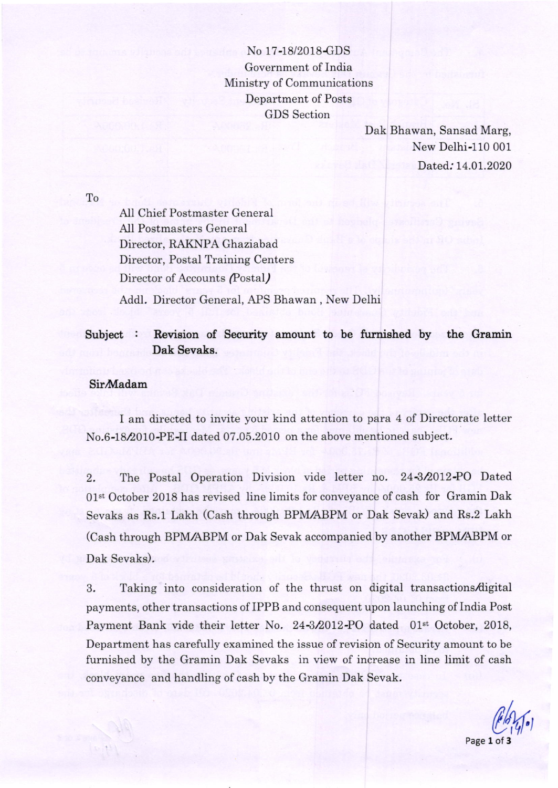No 17-18/2018-GDS Government of India Ministry of Communications Department of Posts GDS Section

> Dak Bhawan, Sansad Marg, New Delhi-110 001 Dated: 14.01.2020

To

AIl Chief Postmaster General All Postmasters General Director, RAKNPA Ghaziabad Director, Postal Training Centers Director of Accounts (Postal)

AddI. Director General, APS Bhawan , New Delhi

## Subject : Revision of Security amount to be furnished by the Gramin Dak Sevaks.

## **Sir**Madam

I am directed to invite your kind attention to para 4 of Directorate letter No.6-18/2010-PE-II dated 07.05.2010 on the above mentioned subject.

2. The Postal Operation Division vide letter no. 24-3/2012-PO Dated 01<sup>st</sup> October 2018 has revised line limits for conveyance of cash for Gramin Dak Sevaks as Rs.1 Lakh (Cash through BPM,/ABPM or Dak Sevak) and Rs.2 Lakh (Cash through BPM/ABPM or Dak Sevak accompanied by another BPM/ABPM or Dak Sevaks).

3. Taking into consideration of the thrust on digital transactions/digital payments, other transactions of IPPB and consequent upon launching of India Post Payment Bank vide their letter No. 24-3/2012-PO dated 01<sup>st</sup> October, 2018, Department has carefully examined the issue of revision of Security amount to be furnished by the Gramin Dak Sevaks in view of increase in line limit of cash conveyance and handling of cash by the Gramin Dak Sevak.

 $(\ell, \mathcal{U})$ Page 1